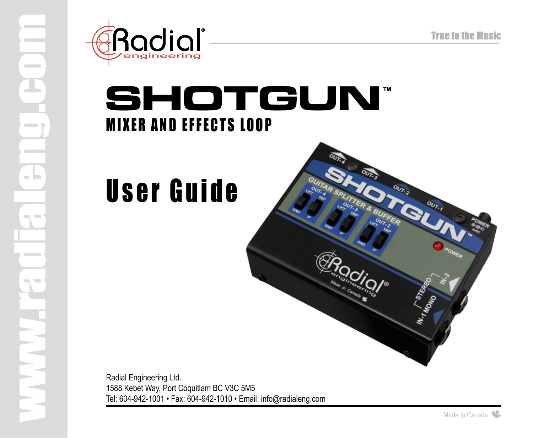

## **SHOTGUN® MIXER AND EFFECTS LOOP**

# User Guide



Radial Engineering Ltd. 1588 Kebet Way, Port Coquitlam BC V3C 5M5 Tel: 604-942-1001 • Fax: 604-942-1010 • Email: info@radialeng.com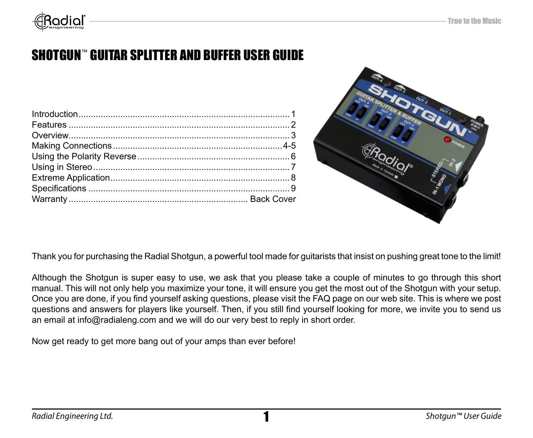

### SHOTGUN™ GUITAR SPLITTER AND BUFFER USER GUIDE



Thank you for purchasing the Radial Shotgun, a powerful tool made for guitarists that insist on pushing great tone to the limit!

Although the Shotgun is super easy to use, we ask that you please take a couple of minutes to go through this short manual. This will not only help you maximize your tone, it will ensure you get the most out of the Shotgun with your setup. Once you are done, if you find yourself asking questions, please visit the FAQ page on our web site. This is where we post questions and answers for players like yourself. Then, if you still find yourself looking for more, we invite you to send us an email at info@radialeng.com and we will do our very best to reply in short order.

Now get ready to get more bang out of your amps than ever before!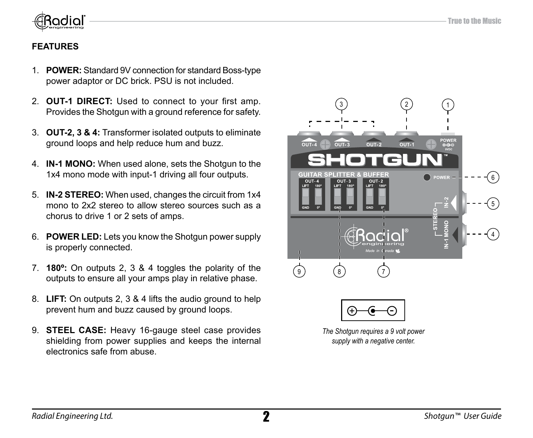

### **FEATURES**

- 1. **POWER:** Standard 9V connection for standard Boss-type power adaptor or DC brick. PSU is not included.
- 2. **Out-1 DIRECT:** Used to connect to your first amp. Provides the Shotgun with a ground reference for safety.
- 3. **OUT-2, 3 & 4:** Transformer isolated outputs to eliminate ground loops and help reduce hum and buzz.
- 4. **IN-1 MONO:** When used alone, sets the Shotgun to the 1x4 mono mode with input-1 driving all four outputs.
- 5. **IN-2 STEREO:** When used, changes the circuit from 1x4 mono to 2x2 stereo to allow stereo sources such as a chorus to drive 1 or 2 sets of amps.
- 6. **POWER LED:** Lets you know the Shotgun power supply is properly connected.
- 7. **180º:** On outputs 2, 3 & 4 toggles the polarity of the outputs to ensure all your amps play in relative phase.
- 8. **LIFT:** On outputs 2, 3 & 4 lifts the audio ground to help prevent hum and buzz caused by ground loops.
- 9. **STEEL CASE:** Heavy 16-gauge steel case provides shielding from power supplies and keeps the internal electronics safe from abuse.

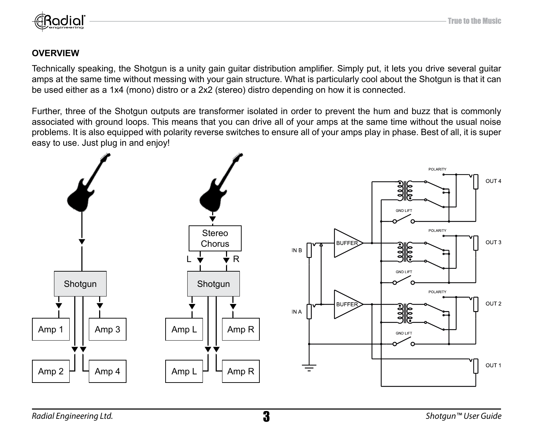

### **OVERVIEW**

Technically speaking, the Shotgun is a unity gain guitar distribution amplifier. Simply put, it lets you drive several guitar amps at the same time without messing with your gain structure. What is particularly cool about the Shotgun is that it can be used either as a 1x4 (mono) distro or a 2x2 (stereo) distro depending on how it is connected.

Further, three of the Shotgun outputs are transformer isolated in order to prevent the hum and buzz that is commonly associated with ground loops. This means that you can drive all of your amps at the same time without the usual noise problems. It is also equipped with polarity reverse switches to ensure all of your amps play in phase. Best of all, it is super easy to use. Just plug in and enjoy!

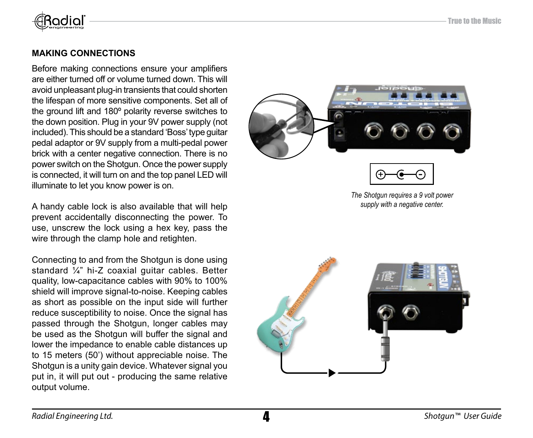

### **Making Connections**

Before making connections ensure your amplifiers are either turned off or volume turned down. This will avoid unpleasant plug-in transients that could shorten the lifespan of more sensitive components. Set all of the ground lift and 180º polarity reverse switches to the down position. Plug in your 9V power supply (not included). This should be a standard 'Boss' type guitar pedal adaptor or 9V supply from a multi-pedal power brick with a center negative connection. There is no power switch on the Shotgun. Once the power supply is connected, it will turn on and the top panel LED will illuminate to let you know power is on.

A handy cable lock is also available that will help prevent accidentally disconnecting the power. To use, unscrew the lock using a hex key, pass the wire through the clamp hole and retighten.

Connecting to and from the Shotgun is done using standard ¼" hi-Z coaxial guitar cables. Better quality, low-capacitance cables with 90% to 100% shield will improve signal-to-noise. Keeping cables as short as possible on the input side will further reduce susceptibility to noise. Once the signal has passed through the Shotgun, longer cables may be used as the Shotgun will buffer the signal and lower the impedance to enable cable distances up to 15 meters (50') without appreciable noise. The Shotgun is a unity gain device. Whatever signal you put in, it will put out - producing the same relative output volume.





*The Shotgun requires a 9 volt power supply with a negative center.*

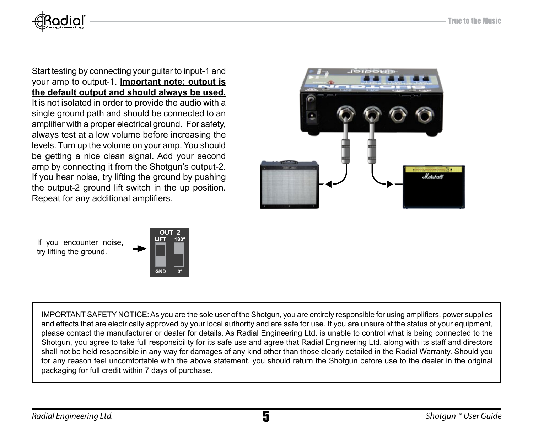

Start testing by connecting your guitar to input-1 and your amp to output-1. **Important note: output is the default output and should always be used.** It is not isolated in order to provide the audio with a single ground path and should be connected to an amplifier with a proper electrical ground. For safety, always test at a low volume before increasing the levels. Turn up the volume on your amp. You should be getting a nice clean signal. Add your second amp by connecting it from the Shotgun's output-2. If you hear noise, try lifting the ground by pushing the output-2 ground lift switch in the up position. Repeat for any additional amplifiers.



If you encounter noise, try lifting the ground.



IMPORTANT SAFETY NOTICE: As you are the sole user of the Shotgun, you are entirely responsible for using amplifiers, power supplies and effects that are electrically approved by your local authority and are safe for use. If you are unsure of the status of your equipment, please contact the manufacturer or dealer for details. As Radial Engineering Ltd. is unable to control what is being connected to the Shotgun, you agree to take full responsibility for its safe use and agree that Radial Engineering Ltd. along with its staff and directors shall not be held responsible in any way for damages of any kind other than those clearly detailed in the Radial Warranty. Should you for any reason feel uncomfortable with the above statement, you should return the Shotgun before use to the dealer in the original packaging for full credit within 7 days of purchase.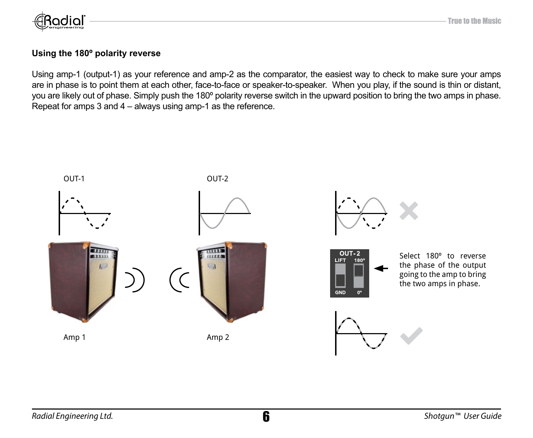

### **Using the 180º polarity reverse**

Using amp-1 (output-1) as your reference and amp-2 as the comparator, the easiest way to check to make sure your amps are in phase is to point them at each other, face-to-face or speaker-to-speaker. When you play, if the sound is thin or distant, you are likely out of phase. Simply push the 180º polarity reverse switch in the upward position to bring the two amps in phase. Repeat for amps 3 and 4 – always using amp-1 as the reference.

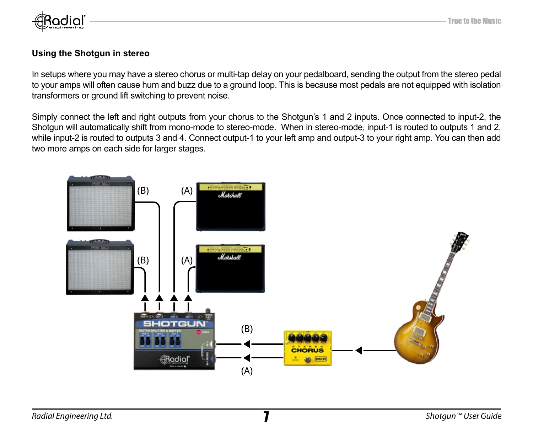

### **Using the Shotgun in stereo**

In setups where you may have a stereo chorus or multi-tap delay on your pedalboard, sending the output from the stereo pedal to your amps will often cause hum and buzz due to a ground loop. This is because most pedals are not equipped with isolation transformers or ground lift switching to prevent noise.

Simply connect the left and right outputs from your chorus to the Shotgun's 1 and 2 inputs. Once connected to input-2, the Shotgun will automatically shift from mono-mode to stereo-mode. When in stereo-mode, input-1 is routed to outputs 1 and 2, while input-2 is routed to outputs 3 and 4. Connect output-1 to your left amp and output-3 to your right amp. You can then add two more amps on each side for larger stages.

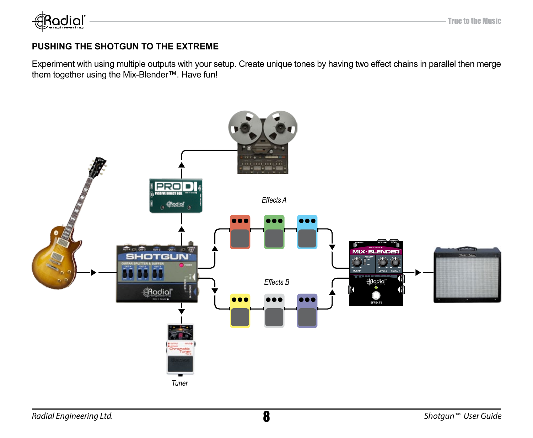

### **PUSHING THE SHOTGUN TO THE EXTREME**

Experiment with using multiple outputs with your setup. Create unique tones by having two effect chains in parallel then merge them together using the Mix-Blender™. Have fun!

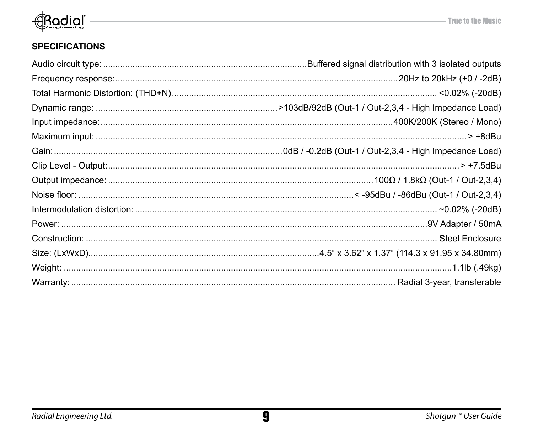

### **SPECIFICATIONS**